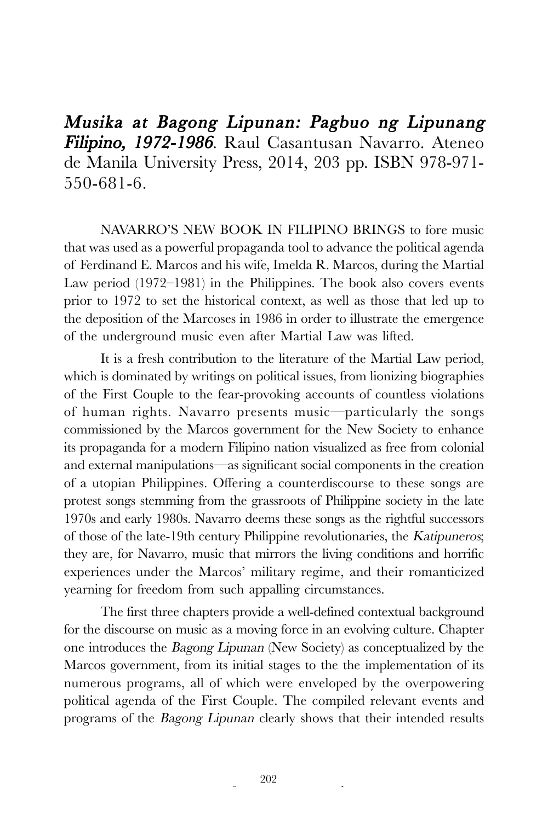Musika at Bagong Lipunan: Pagbuo ng Lipunang Filipino, 1972-1986. Raul Casantusan Navarro. Ateneo de Manila University Press, 2014, 203 pp. ISBN 978-971- 550-681-6.

NAVARRO'S NEW BOOK IN FILIPINO BRINGS to fore music that was used as a powerful propaganda tool to advance the political agenda of Ferdinand E. Marcos and his wife, Imelda R. Marcos, during the Martial Law period (1972–1981) in the Philippines. The book also covers events prior to 1972 to set the historical context, as well as those that led up to the deposition of the Marcoses in 1986 in order to illustrate the emergence of the underground music even after Martial Law was lifted.

It is a fresh contribution to the literature of the Martial Law period, which is dominated by writings on political issues, from lionizing biographies of the First Couple to the fear-provoking accounts of countless violations of human rights. Navarro presents music—particularly the songs commissioned by the Marcos government for the New Society to enhance its propaganda for a modern Filipino nation visualized as free from colonial and external manipulations—as significant social components in the creation of a utopian Philippines. Offering a counterdiscourse to these songs are protest songs stemming from the grassroots of Philippine society in the late 1970s and early 1980s. Navarro deems these songs as the rightful successors of those of the late-19th century Philippine revolutionaries, the Katipuneros; they are, for Navarro, music that mirrors the living conditions and horrific experiences under the Marcos' military regime, and their romanticized yearning for freedom from such appalling circumstances.

The first three chapters provide a well-defined contextual background for the discourse on music as a moving force in an evolving culture. Chapter one introduces the Bagong Lipunan (New Society) as conceptualized by the Marcos government, from its initial stages to the the implementation of its numerous programs, all of which were enveloped by the overpowering political agenda of the First Couple. The compiled relevant events and programs of the Bagong Lipunan clearly shows that their intended results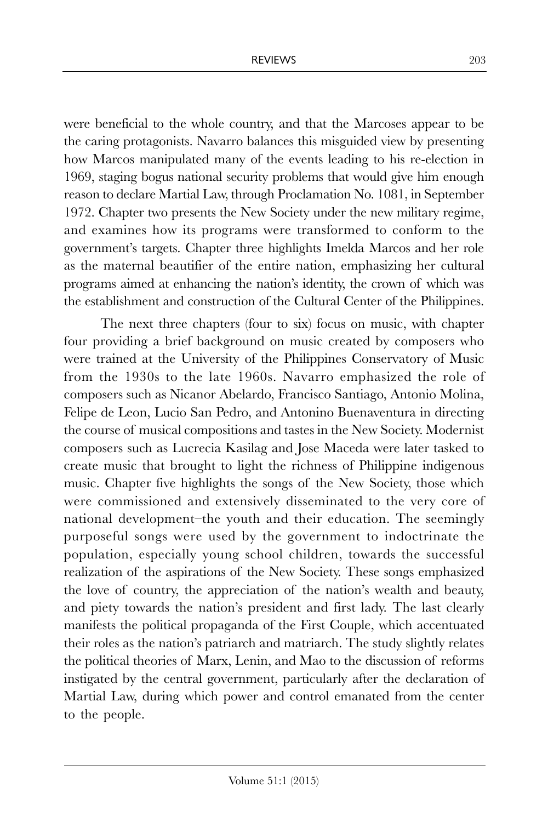were beneficial to the whole country, and that the Marcoses appear to be the caring protagonists. Navarro balances this misguided view by presenting how Marcos manipulated many of the events leading to his re-election in 1969, staging bogus national security problems that would give him enough reason to declare Martial Law, through Proclamation No. 1081, in September 1972. Chapter two presents the New Society under the new military regime, and examines how its programs were transformed to conform to the government's targets. Chapter three highlights Imelda Marcos and her role as the maternal beautifier of the entire nation, emphasizing her cultural programs aimed at enhancing the nation's identity, the crown of which was the establishment and construction of the Cultural Center of the Philippines.

The next three chapters (four to six) focus on music, with chapter four providing a brief background on music created by composers who were trained at the University of the Philippines Conservatory of Music from the 1930s to the late 1960s. Navarro emphasized the role of composers such as Nicanor Abelardo, Francisco Santiago, Antonio Molina, Felipe de Leon, Lucio San Pedro, and Antonino Buenaventura in directing the course of musical compositions and tastes in the New Society. Modernist composers such as Lucrecia Kasilag and Jose Maceda were later tasked to create music that brought to light the richness of Philippine indigenous music. Chapter five highlights the songs of the New Society, those which were commissioned and extensively disseminated to the very core of national development–the youth and their education. The seemingly purposeful songs were used by the government to indoctrinate the population, especially young school children, towards the successful realization of the aspirations of the New Society. These songs emphasized the love of country, the appreciation of the nation's wealth and beauty, and piety towards the nation's president and first lady. The last clearly manifests the political propaganda of the First Couple, which accentuated their roles as the nation's patriarch and matriarch. The study slightly relates the political theories of Marx, Lenin, and Mao to the discussion of reforms instigated by the central government, particularly after the declaration of Martial Law, during which power and control emanated from the center to the people.